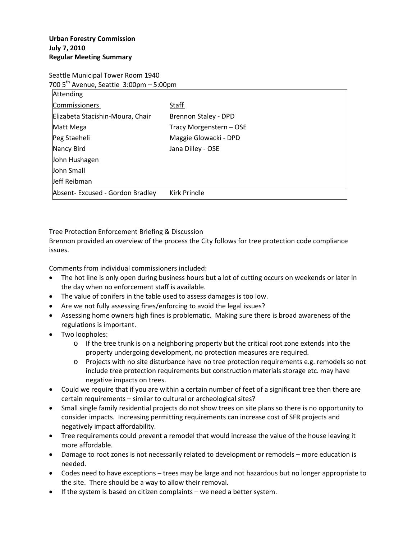Seattle Municipal Tower Room 1940

| 700 5 <sup>th</sup> Avenue, Seattle 3:00pm – 5:00pm |                         |  |
|-----------------------------------------------------|-------------------------|--|
| Attending                                           |                         |  |
| <b>Commissioners</b>                                | Staff                   |  |
| Elizabeta Stacishin-Moura, Chair                    | Brennon Staley - DPD    |  |
| Matt Mega                                           | Tracy Morgenstern - OSE |  |
| Peg Staeheli                                        | Maggie Glowacki - DPD   |  |
| Nancy Bird                                          | Jana Dilley - OSE       |  |
| John Hushagen                                       |                         |  |
| John Small                                          |                         |  |
| Jeff Reibman                                        |                         |  |
| Absent-Excused - Gordon Bradley                     | Kirk Prindle            |  |

Tree Protection Enforcement Briefing & Discussion

Brennon provided an overview of the process the City follows for tree protection code compliance issues.

Comments from individual commissioners included:

- The hot line is only open during business hours but a lot of cutting occurs on weekends or later in the day when no enforcement staff is available.
- The value of conifers in the table used to assess damages is too low.
- Are we not fully assessing fines/enforcing to avoid the legal issues?
- Assessing home owners high fines is problematic. Making sure there is broad awareness of the regulations is important.
- Two loopholes:
	- $\circ$  If the tree trunk is on a neighboring property but the critical root zone extends into the property undergoing development, no protection measures are required.
	- o Projects with no site disturbance have no tree protection requirements e.g. remodels so not include tree protection requirements but construction materials storage etc. may have negative impacts on trees.
- Could we require that if you are within a certain number of feet of a significant tree then there are certain requirements – similar to cultural or archeological sites?
- Small single family residential projects do not show trees on site plans so there is no opportunity to consider impacts. Increasing permitting requirements can increase cost of SFR projects and negatively impact affordability.
- Tree requirements could prevent a remodel that would increase the value of the house leaving it more affordable.
- Damage to root zones is not necessarily related to development or remodels more education is needed.
- Codes need to have exceptions trees may be large and not hazardous but no longer appropriate to the site. There should be a way to allow their removal.
- If the system is based on citizen complaints we need a better system.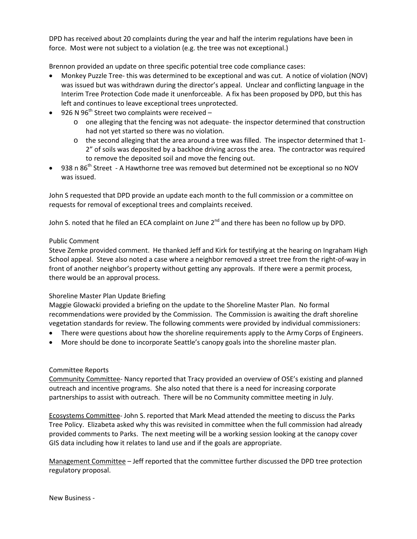DPD has received about 20 complaints during the year and half the interim regulations have been in force. Most were not subject to a violation (e.g. the tree was not exceptional.)

Brennon provided an update on three specific potential tree code compliance cases:

- Monkey Puzzle Tree- this was determined to be exceptional and was cut. A notice of violation (NOV) was issued but was withdrawn during the director's appeal. Unclear and conflicting language in the Interim Tree Protection Code made it unenforceable. A fix has been proposed by DPD, but this has left and continues to leave exceptional trees unprotected.
- 926 N  $96<sup>th</sup>$  Street two complaints were received
	- o one alleging that the fencing was not adequate- the inspector determined that construction had not yet started so there was no violation.
	- o the second alleging that the area around a tree was filled. The inspector determined that 1- 2" of soils was deposited by a backhoe driving across the area. The contractor was required to remove the deposited soil and move the fencing out.
- 938 n 86<sup>th</sup> Street A Hawthorne tree was removed but determined not be exceptional so no NOV was issued.

John S requested that DPD provide an update each month to the full commission or a committee on requests for removal of exceptional trees and complaints received.

John S. noted that he filed an ECA complaint on June  $2^{nd}$  and there has been no follow up by DPD.

# Public Comment

Steve Zemke provided comment. He thanked Jeff and Kirk for testifying at the hearing on Ingraham High School appeal. Steve also noted a case where a neighbor removed a street tree from the right-of-way in front of another neighbor's property without getting any approvals. If there were a permit process, there would be an approval process.

# Shoreline Master Plan Update Briefing

Maggie Glowacki provided a briefing on the update to the Shoreline Master Plan. No formal recommendations were provided by the Commission. The Commission is awaiting the draft shoreline vegetation standards for review. The following comments were provided by individual commissioners:

- There were questions about how the shoreline requirements apply to the Army Corps of Engineers.
- More should be done to incorporate Seattle's canopy goals into the shoreline master plan.

# Committee Reports

Community Committee- Nancy reported that Tracy provided an overview of OSE's existing and planned outreach and incentive programs. She also noted that there is a need for increasing corporate partnerships to assist with outreach. There will be no Community committee meeting in July.

Ecosystems Committee- John S. reported that Mark Mead attended the meeting to discuss the Parks Tree Policy. Elizabeta asked why this was revisited in committee when the full commission had already provided comments to Parks. The next meeting will be a working session looking at the canopy cover GIS data including how it relates to land use and if the goals are appropriate.

Management Committee – Jeff reported that the committee further discussed the DPD tree protection regulatory proposal.